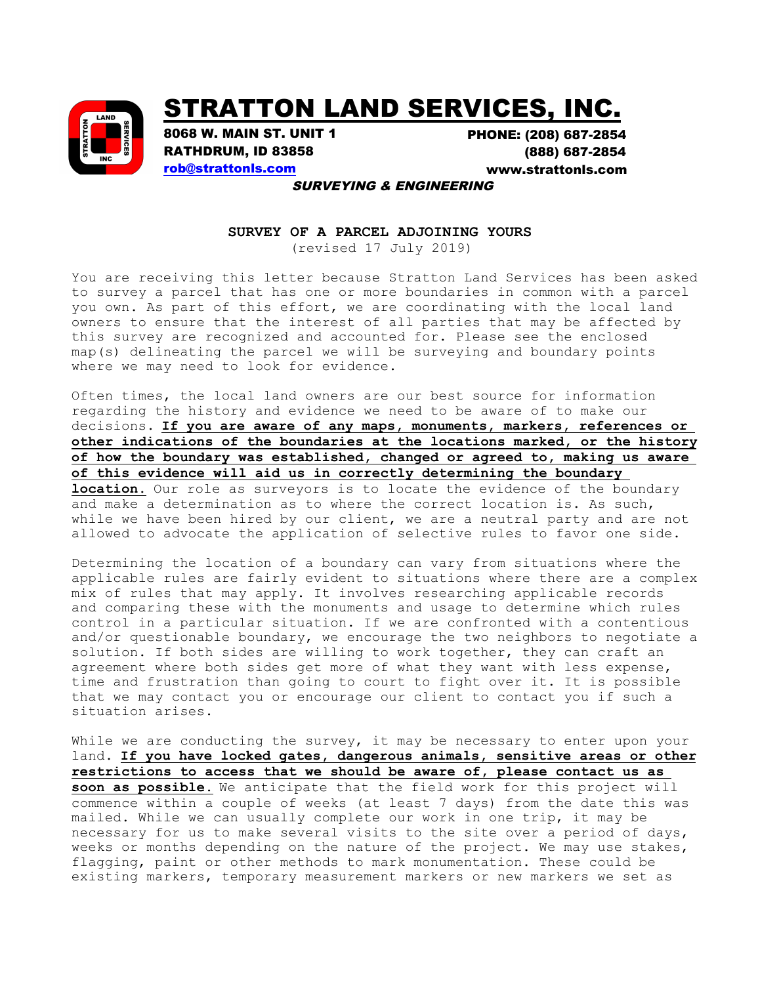

## STRATTON LAND SERVICES, INC.

8068 W. MAIN ST. UNIT 1 RATHDRUM, ID 83858 rob@strattonls.com

PHONE: (208) 687-2854 (888) 687-2854 <www.strattonls.com>

SURVEYING & ENGINEERING

## **SURVEY OF A PARCEL ADJOINING YOURS**

(revised 17 July 2019)

You are receiving this letter because Stratton Land Services has been asked to survey a parcel that has one or more boundaries in common with a parcel you own. As part of this effort, we are coordinating with the local land owners to ensure that the interest of all parties that may be affected by this survey are recognized and accounted for. Please see the enclosed map(s) delineating the parcel we will be surveying and boundary points where we may need to look for evidence.

Often times, the local land owners are our best source for information regarding the history and evidence we need to be aware of to make our decisions. **If you are aware of any maps, monuments, markers, references or other indications of the boundaries at the locations marked, or the history of how the boundary was established, changed or agreed to, making us aware of this evidence will aid us in correctly determining the boundary location.** Our role as surveyors is to locate the evidence of the boundary and make a determination as to where the correct location is. As such, while we have been hired by our client, we are a neutral party and are not allowed to advocate the application of selective rules to favor one side.

Determining the location of a boundary can vary from situations where the applicable rules are fairly evident to situations where there are a complex mix of rules that may apply. It involves researching applicable records and comparing these with the monuments and usage to determine which rules control in a particular situation. If we are confronted with a contentious and/or questionable boundary, we encourage the two neighbors to negotiate a solution. If both sides are willing to work together, they can craft an agreement where both sides get more of what they want with less expense, time and frustration than going to court to fight over it. It is possible that we may contact you or encourage our client to contact you if such a situation arises.

While we are conducting the survey, it may be necessary to enter upon your land. **If you have locked gates, dangerous animals, sensitive areas or other restrictions to access that we should be aware of, please contact us as soon as possible.** We anticipate that the field work for this project will commence within a couple of weeks (at least 7 days) from the date this was mailed. While we can usually complete our work in one trip, it may be necessary for us to make several visits to the site over a period of days, weeks or months depending on the nature of the project. We may use stakes, flagging, paint or other methods to mark monumentation. These could be existing markers, temporary measurement markers or new markers we set as